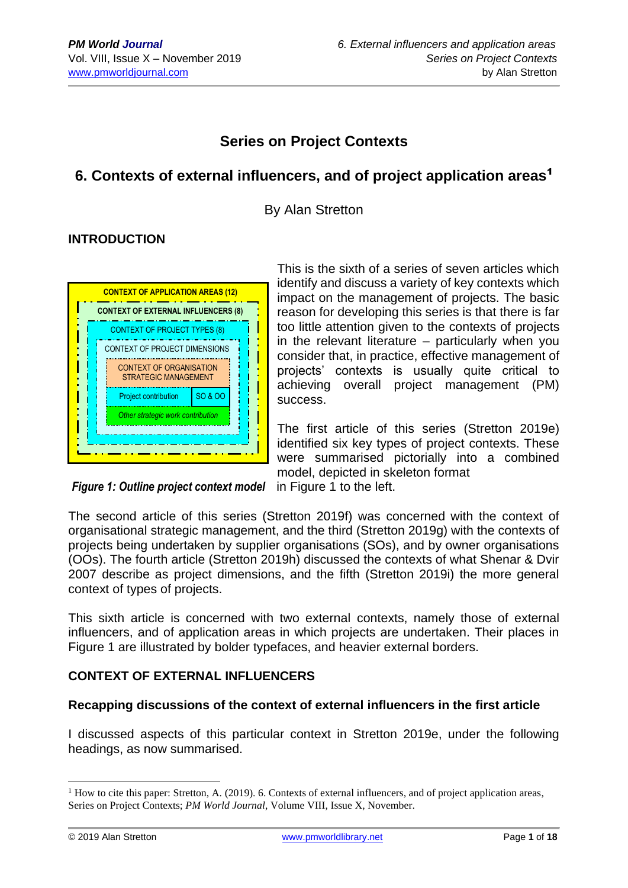# **Series on Project Contexts**

# **6. Contexts of external influencers, and of project application areas**<sup>1</sup>

By Alan Stretton

# **INTRODUCTION**



This is the sixth of a series of seven articles which identify and discuss a variety of key contexts which impact on the management of projects. The basic reason for developing this series is that there is far too little attention given to the contexts of projects in the relevant literature – particularly when you consider that, in practice, effective management of projects' contexts is usually quite critical to achieving overall project management (PM) success.

The first article of this series (Stretton 2019e) identified six key types of project contexts. These were summarised pictorially into a combined model, depicted in skeleton format

*Figure 1: Outline project context model* in Figure 1 to the left.

The second article of this series (Stretton 2019f) was concerned with the context of organisational strategic management, and the third (Stretton 2019g) with the contexts of projects being undertaken by supplier organisations (SOs), and by owner organisations (OOs). The fourth article (Stretton 2019h) discussed the contexts of what Shenar & Dvir  2007 describe as project dimensions, and the fifth (Stretton 2019i) the more general  context of types of projects.

This sixth article is concerned with two external contexts, namely those of external influencers, and of application areas in which projects are undertaken. Their places in Figure 1 are illustrated by bolder typefaces, and heavier external borders. 

# **CONTEXT OF EXTERNAL INFLUENCERS**

# **Recapping discussions of the context of external influencers in the first article**

I discussed aspects of this particular context in Stretton 2019e, under the following headings, as now summarised.

 $<sup>1</sup>$  How to cite this paper: Stretton, A. (2019). 6. Contexts of external influencers, and of project application areas,</sup> Series on Project Contexts; *PM World Journal*, Volume VIII, Issue X, November.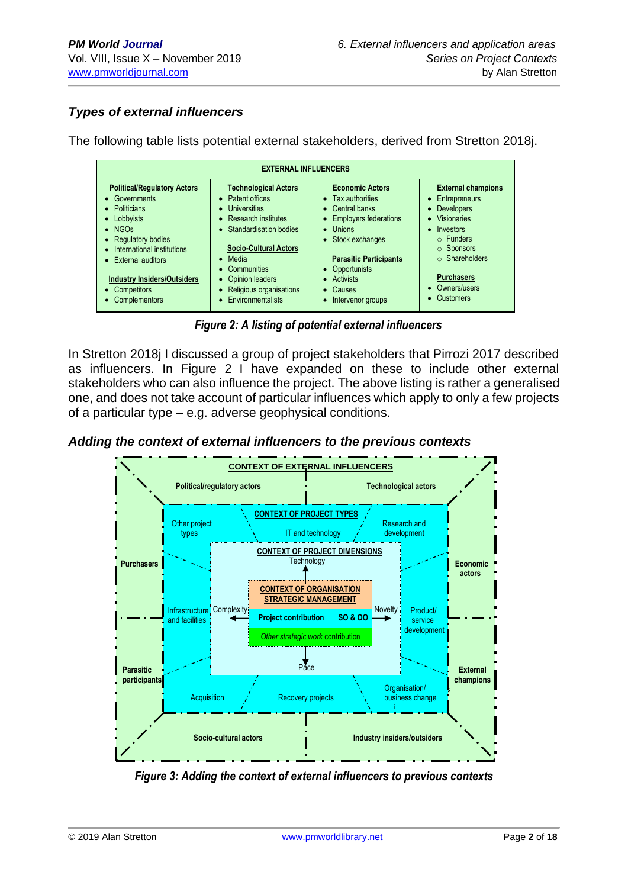# *Types of external influencers*

The following table lists potential external stakeholders, derived from Stretton 2018j.

| <b>EXTERNAL INFLUENCERS</b>                                                                                                                                                   |                                                                                                                                                                                                  |                                                                                                                                                                                                                         |                                                                                                                                                                   |  |  |  |  |  |  |
|-------------------------------------------------------------------------------------------------------------------------------------------------------------------------------|--------------------------------------------------------------------------------------------------------------------------------------------------------------------------------------------------|-------------------------------------------------------------------------------------------------------------------------------------------------------------------------------------------------------------------------|-------------------------------------------------------------------------------------------------------------------------------------------------------------------|--|--|--|--|--|--|
| <b>Political/Regulatory Actors</b><br>Governments<br>Politicians<br>Lobbyists<br><b>NGOs</b><br><b>Regulatory bodies</b><br>International institutions<br>• External auditors | <b>Technological Actors</b><br>Patent offices<br>$\bullet$<br>Universities<br>Research institutes<br>Standardisation bodies<br><b>Socio-Cultural Actors</b><br>Media<br>$\bullet$<br>Communities | <b>Economic Actors</b><br>Tax authorities<br>$\bullet$<br>Central banks<br>$\bullet$<br>• Employers federations<br>Unions<br>$\bullet$<br>Stock exchanges<br>$\bullet$<br><b>Parasitic Participants</b><br>Opportunists | <b>External champions</b><br>Entrepreneurs<br><b>Developers</b><br><b>Visionaries</b><br>Investors<br>$\circ$ Funders<br>$\circ$ Sponsors<br>$\circ$ Shareholders |  |  |  |  |  |  |
| <b>Industry Insiders/Outsiders</b><br>Competitors<br>Complementors                                                                                                            | • Opinion leaders<br>Religious organisations<br>Environmentalists                                                                                                                                | <b>Activists</b><br>$\bullet$<br>Causes<br>$\bullet$<br>Intervenor groups                                                                                                                                               | <b>Purchasers</b><br>Owners/users<br>Customers                                                                                                                    |  |  |  |  |  |  |

 *Figure 2: A listing of potential external influencers*

In Stretton 2018j I discussed a group of project stakeholders that Pirrozi 2017 described as influencers. In Figure 2 I have expanded on these to include other external stakeholders who can also influence the project. The above listing is rather a generalised one, and does not take account of particular influences which apply to only a few projects of a particular type – e.g. adverse geophysical conditions.

*Adding the context of external influencers to the previous contexts*



*Figure 3: Adding the context of external influencers to previous contexts*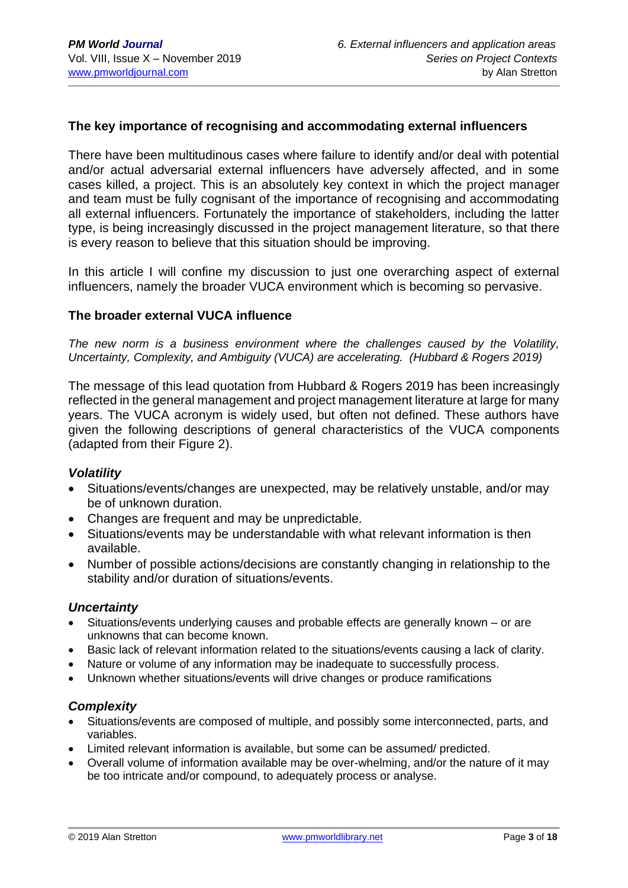## **The key importance of recognising and accommodating external influencers**

There have been multitudinous cases where failure to identify and/or deal with potential and/or actual adversarial external influencers have adversely affected, and in some cases killed, a project. This is an absolutely key context in which the project manager and team must be fully cognisant of the importance of recognising and accommodating all external influencers. Fortunately the importance of stakeholders, including the latter type, is being increasingly discussed in the project management literature, so that there is every reason to believe that this situation should be improving.

In this article I will confine my discussion to just one overarching aspect of external influencers, namely the broader VUCA environment which is becoming so pervasive.

#### **The broader external VUCA influence**

*The new norm is a business environment where the challenges caused by the Volatility, Uncertainty, Complexity, and Ambiguity (VUCA) are accelerating. (Hubbard & Rogers 2019)*

The message of this lead quotation from Hubbard & Rogers 2019 has been increasingly reflected in the general management and project management literature at large for many years. The VUCA acronym is widely used, but often not defined. These authors have given the following descriptions of general characteristics of the VUCA components (adapted from their Figure 2).

#### *Volatility*

- Situations/events/changes are unexpected, may be relatively unstable, and/or may be of unknown duration.
- Changes are frequent and may be unpredictable.
- Situations/events may be understandable with what relevant information is then available.
- Number of possible actions/decisions are constantly changing in relationship to the stability and/or duration of situations/events.

#### *Uncertainty*

- Situations/events underlying causes and probable effects are generally known or are unknowns that can become known.
- Basic lack of relevant information related to the situations/events causing a lack of clarity.
- Nature or volume of any information may be inadequate to successfully process.
- Unknown whether situations/events will drive changes or produce ramifications

#### *Complexity*

- Situations/events are composed of multiple, and possibly some interconnected, parts, and variables.
- Limited relevant information is available, but some can be assumed/ predicted.
- Overall volume of information available may be over-whelming, and/or the nature of it may be too intricate and/or compound, to adequately process or analyse.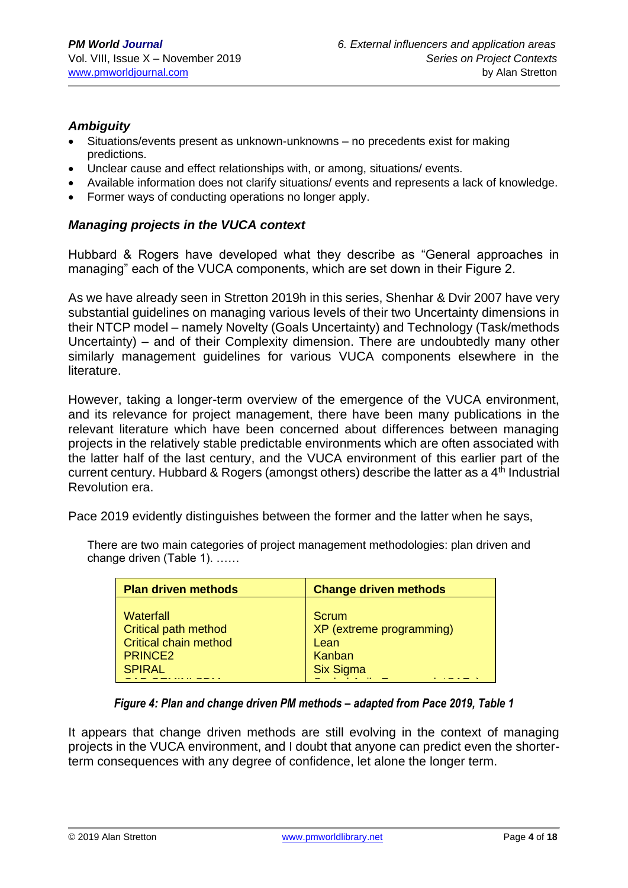# *Ambiguity*

- Situations/events present as unknown-unknowns no precedents exist for making predictions.
- Unclear cause and effect relationships with, or among, situations/ events.
- Available information does not clarify situations/ events and represents a lack of knowledge.
- Former ways of conducting operations no longer apply.

#### *Managing projects in the VUCA context*

Hubbard & Rogers have developed what they describe as "General approaches in managing" each of the VUCA components, which are set down in their Figure 2.

As we have already seen in Stretton 2019h in this series, Shenhar & Dvir 2007 have very substantial guidelines on managing various levels of their two Uncertainty dimensions in their NTCP model – namely Novelty (Goals Uncertainty) and Technology (Task/methods Uncertainty) – and of their Complexity dimension. There are undoubtedly many other similarly management guidelines for various VUCA components elsewhere in the literature.

However, taking a longer-term overview of the emergence of the VUCA environment, and its relevance for project management, there have been many publications in the relevant literature which have been concerned about differences between managing projects in the relatively stable predictable environments which are often associated with the latter half of the last century, and the VUCA environment of this earlier part of the current century. Hubbard & Rogers (amongst others) describe the latter as a 4<sup>th</sup> Industrial Revolution era.

Pace 2019 evidently distinguishes between the former and the latter when he says,

There are two main categories of project management methodologies: plan driven and change driven (Table 1). ……

| <b>Plan driven methods</b>   | <b>Change driven methods</b> |
|------------------------------|------------------------------|
| Waterfall                    | Scrum                        |
| Critical path method         | XP (extreme programming)     |
| <b>Critical chain method</b> | Lean                         |
| <b>PRINCE2</b>               | Kanban                       |
| <b>SPIRAL</b>                | <b>Six Sigma</b>             |

*Figure 4: Plan and change driven PM methods – adapted from Pace 2019, Table 1*

It appears that change driven methods are still evolving in the context of managing projects in the VUCA environment, and I doubt that anyone can predict even the shorterterm consequences with any degree of confidence, let alone the longer term.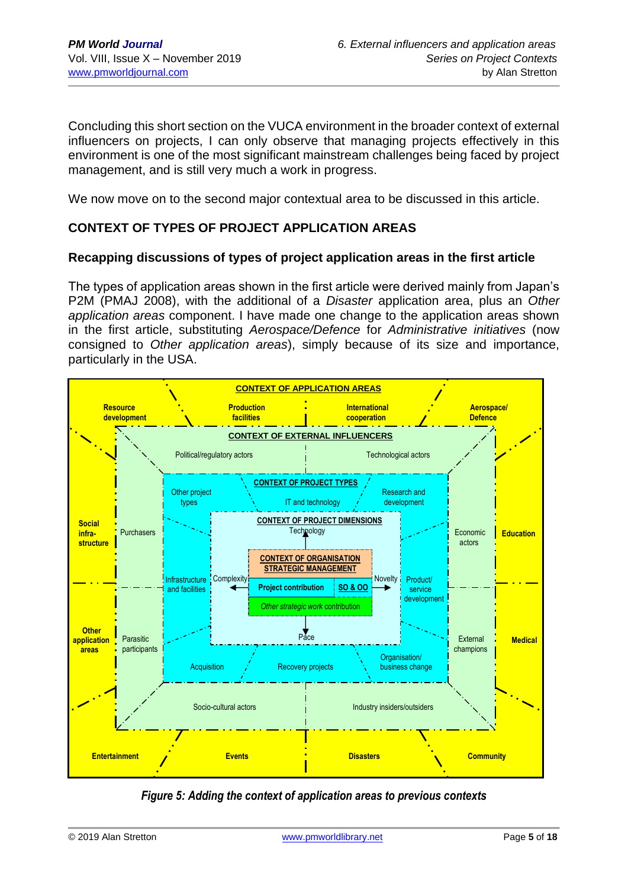Concluding this short section on the VUCA environment in the broader context of external influencers on projects, I can only observe that managing projects effectively in this environment is one of the most significant mainstream challenges being faced by project management, and is still very much a work in progress.

We now move on to the second major contextual area to be discussed in this article.

# **CONTEXT OF TYPES OF PROJECT APPLICATION AREAS**

### **Recapping discussions of types of project application areas in the first article**

The types of application areas shown in the first article were derived mainly from Japan's P2M (PMAJ 2008), with the additional of a *Disaster* application area, plus an *Other application areas* component. I have made one change to the application areas shown in the first article, substituting *Aerospace/Defence* for *Administrative initiatives* (now consigned to *Other application areas*), simply because of its size and importance, particularly in the USA.



*Figure 5: Adding the context of application areas to previous contexts*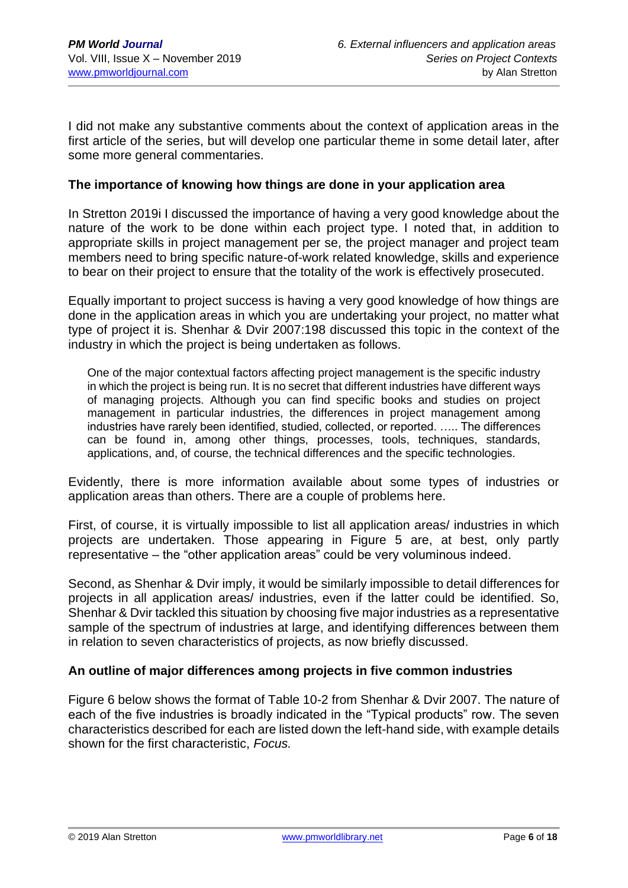I did not make any substantive comments about the context of application areas in the first article of the series, but will develop one particular theme in some detail later, after some more general commentaries.

#### **The importance of knowing how things are done in your application area**

In Stretton 2019i I discussed the importance of having a very good knowledge about the nature of the work to be done within each project type. I noted that, in addition to appropriate skills in project management per se, the project manager and project team members need to bring specific nature-of-work related knowledge, skills and experience to bear on their project to ensure that the totality of the work is effectively prosecuted.

Equally important to project success is having a very good knowledge of how things are done in the application areas in which you are undertaking your project, no matter what type of project it is. Shenhar & Dvir 2007:198 discussed this topic in the context of the industry in which the project is being undertaken as follows.

One of the major contextual factors affecting project management is the specific industry in which the project is being run. It is no secret that different industries have different ways of managing projects. Although you can find specific books and studies on project management in particular industries, the differences in project management among industries have rarely been identified, studied, collected, or reported. ….. The differences can be found in, among other things, processes, tools, techniques, standards, applications, and, of course, the technical differences and the specific technologies.

Evidently, there is more information available about some types of industries or application areas than others. There are a couple of problems here.

First, of course, it is virtually impossible to list all application areas/ industries in which projects are undertaken. Those appearing in Figure 5 are, at best, only partly representative – the "other application areas" could be very voluminous indeed.

Second, as Shenhar & Dvir imply, it would be similarly impossible to detail differences for projects in all application areas/ industries, even if the latter could be identified. So, Shenhar & Dvir tackled this situation by choosing five major industries as a representative sample of the spectrum of industries at large, and identifying differences between them in relation to seven characteristics of projects, as now briefly discussed.

#### **An outline of major differences among projects in five common industries**

Figure 6 below shows the format of Table 10-2 from Shenhar & Dvir 2007. The nature of each of the five industries is broadly indicated in the "Typical products" row. The seven characteristics described for each are listed down the left-hand side, with example details shown for the first characteristic, *Focus.*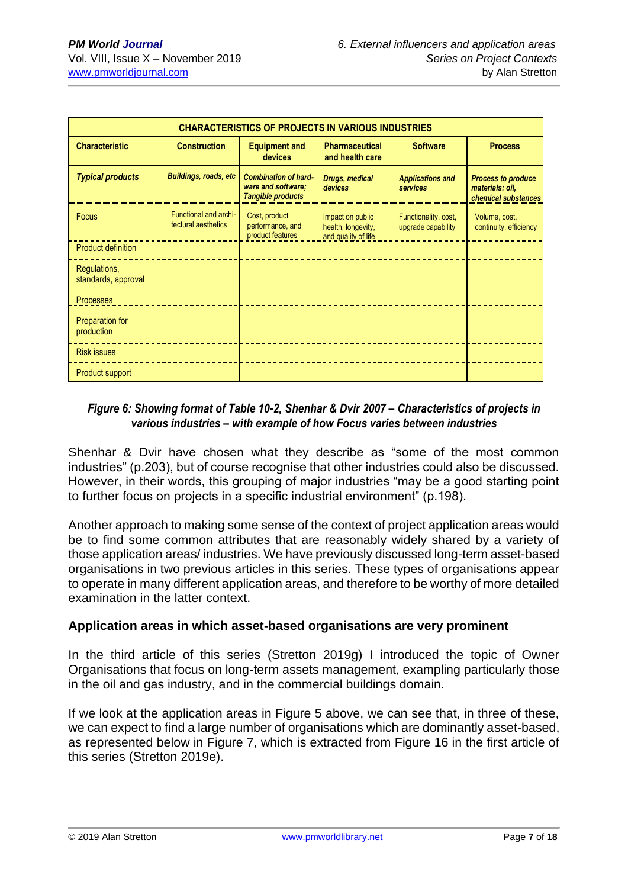| <b>CHARACTERISTICS OF PROJECTS IN VARIOUS INDUSTRIES</b> |                                              |                                                                               |                                                               |                                            |                                                                     |  |  |  |  |  |
|----------------------------------------------------------|----------------------------------------------|-------------------------------------------------------------------------------|---------------------------------------------------------------|--------------------------------------------|---------------------------------------------------------------------|--|--|--|--|--|
| <b>Characteristic</b>                                    | <b>Construction</b>                          | <b>Equipment and</b><br>devices                                               | <b>Pharmaceutical</b><br>and health care                      | <b>Software</b>                            | <b>Process</b>                                                      |  |  |  |  |  |
| <b>Typical products</b>                                  | <b>Buildings, roads, etc</b>                 | <b>Combination of hard-</b><br>ware and software;<br><b>Tangible products</b> | <b>Drugs, medical</b><br>devices                              | <b>Applications and</b><br>services        | <b>Process to produce</b><br>materials: oil,<br>chemical substances |  |  |  |  |  |
| <b>Focus</b>                                             | Functional and archi-<br>tectural aesthetics | Cost, product<br>performance, and<br>product features                         | Impact on public<br>health, longevity,<br>and quality of life | Functionality, cost,<br>upgrade capability | Volume, cost,<br>continuity, efficiency                             |  |  |  |  |  |
| <b>Product definition</b>                                |                                              |                                                                               |                                                               |                                            |                                                                     |  |  |  |  |  |
| Regulations,<br>standards, approval                      |                                              |                                                                               |                                                               |                                            |                                                                     |  |  |  |  |  |
| <b>Processes</b>                                         |                                              |                                                                               |                                                               |                                            |                                                                     |  |  |  |  |  |
| Preparation for<br>production                            |                                              |                                                                               |                                                               |                                            |                                                                     |  |  |  |  |  |
| <b>Risk issues</b>                                       |                                              |                                                                               |                                                               |                                            |                                                                     |  |  |  |  |  |
| <b>Product support</b>                                   |                                              |                                                                               |                                                               |                                            |                                                                     |  |  |  |  |  |

# *Figure 6: Showing format of Table 10-2, Shenhar & Dvir 2007 – Characteristics of projects in various industries – with example of how Focus varies between industries*

Shenhar & Dvir have chosen what they describe as "some of the most common industries" (p.203), but of course recognise that other industries could also be discussed. However, in their words, this grouping of major industries "may be a good starting point to further focus on projects in a specific industrial environment" (p.198).

Another approach to making some sense of the context of project application areas would be to find some common attributes that are reasonably widely shared by a variety of those application areas/ industries. We have previously discussed long-term asset-based organisations in two previous articles in this series. These types of organisations appear to operate in many different application areas, and therefore to be worthy of more detailed examination in the latter context.

# **Application areas in which asset-based organisations are very prominent**

In the third article of this series (Stretton 2019g) I introduced the topic of Owner Organisations that focus on long-term assets management, exampling particularly those in the oil and gas industry, and in the commercial buildings domain.

If we look at the application areas in Figure 5 above, we can see that, in three of these, we can expect to find a large number of organisations which are dominantly asset-based, as represented below in Figure 7, which is extracted from Figure 16 in the first article of this series (Stretton 2019e).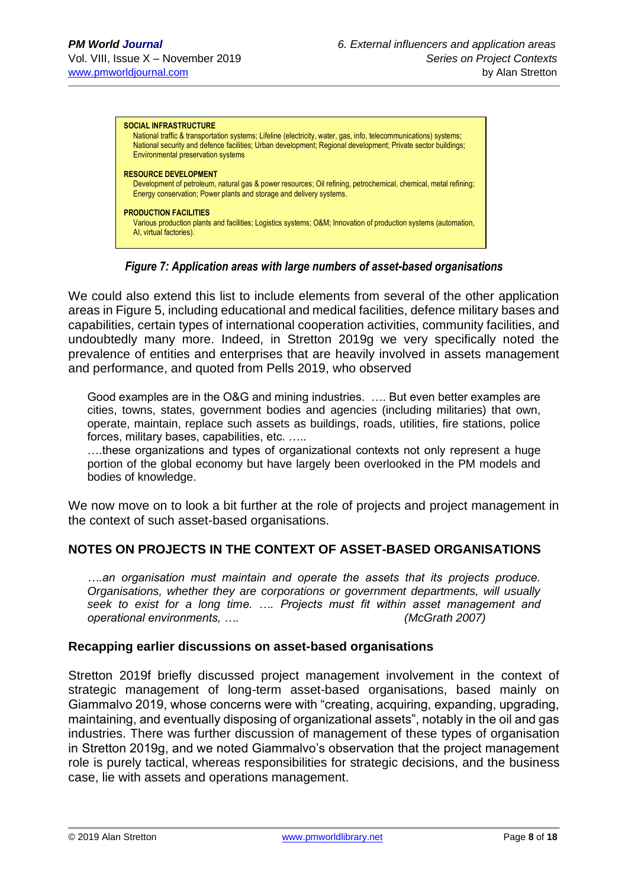| <b>SOCIAL INFRASTRUCTURE</b><br>National traffic & transportation systems; Lifeline (electricity, water, gas, info, telecommunications) systems;<br>National security and defence facilities; Urban development; Regional development; Private sector buildings;<br>Environmental preservation systems |
|--------------------------------------------------------------------------------------------------------------------------------------------------------------------------------------------------------------------------------------------------------------------------------------------------------|
| <b>RESOURCE DEVELOPMENT</b><br>Development of petroleum, natural gas & power resources; Oil refining, petrochemical, chemical, metal refining;<br>Energy conservation: Power plants and storage and delivery systems.                                                                                  |
| <b>PRODUCTION FACILITIES</b><br>Various production plants and facilities; Logistics systems; O&M Innovation of production systems (automation,<br>AI, virtual factories).                                                                                                                              |

*Figure 7: Application areas with large numbers of asset-based organisations* 

We could also extend this list to include elements from several of the other application areas in Figure 5, including educational and medical facilities, defence military bases and capabilities, certain types of international cooperation activities, community facilities, and undoubtedly many more. Indeed, in Stretton 2019g we very specifically noted the prevalence of entities and enterprises that are heavily involved in assets management and performance, and quoted from Pells 2019, who observed

Good examples are in the O&G and mining industries. …. But even better examples are cities, towns, states, government bodies and agencies (including militaries) that own, operate, maintain, replace such assets as buildings, roads, utilities, fire stations, police forces, military bases, capabilities, etc. …..

….these organizations and types of organizational contexts not only represent a huge portion of the global economy but have largely been overlooked in the PM models and bodies of knowledge.

We now move on to look a bit further at the role of projects and project management in the context of such asset-based organisations.

# **NOTES ON PROJECTS IN THE CONTEXT OF ASSET-BASED ORGANISATIONS**

*….an organisation must maintain and operate the assets that its projects produce. Organisations, whether they are corporations or government departments, will usually seek to exist for a long time. …. Projects must fit within asset management and operational environments, …. (McGrath 2007)*

#### **Recapping earlier discussions on asset-based organisations**

Stretton 2019f briefly discussed project management involvement in the context of strategic management of long-term asset-based organisations, based mainly on Giammalvo 2019, whose concerns were with "creating, acquiring, expanding, upgrading, maintaining, and eventually disposing of organizational assets", notably in the oil and gas industries. There was further discussion of management of these types of organisation in Stretton 2019g, and we noted Giammalvo's observation that the project management role is purely tactical, whereas responsibilities for strategic decisions, and the business case, lie with assets and operations management.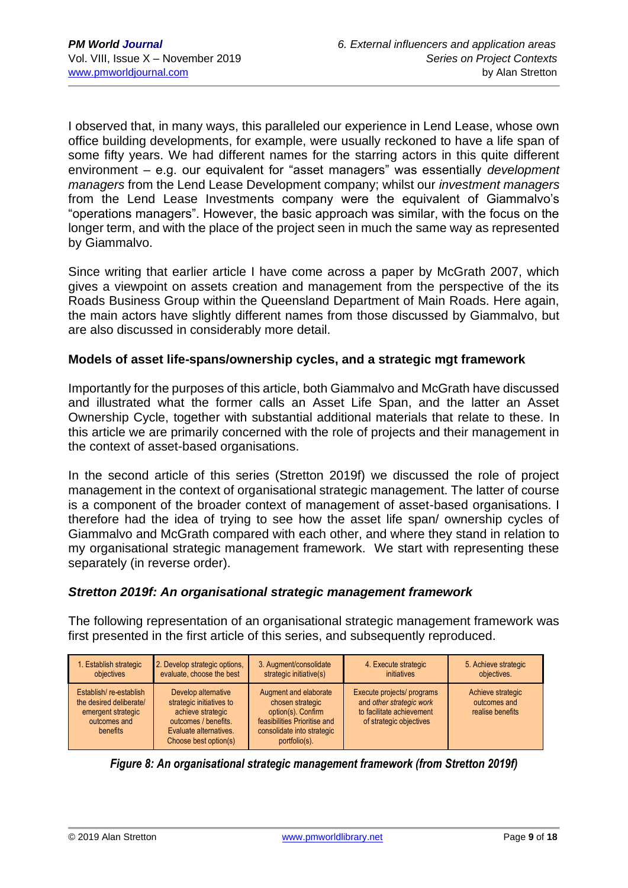I observed that, in many ways, this paralleled our experience in Lend Lease, whose own office building developments, for example, were usually reckoned to have a life span of some fifty years. We had different names for the starring actors in this quite different environment – e.g. our equivalent for "asset managers" was essentially *development managers* from the Lend Lease Development company; whilst our *investment managers* from the Lend Lease Investments company were the equivalent of Giammalvo's "operations managers". However, the basic approach was similar, with the focus on the longer term, and with the place of the project seen in much the same way as represented by Giammalvo.

Since writing that earlier article I have come across a paper by McGrath 2007, which gives a viewpoint on assets creation and management from the perspective of the its Roads Business Group within the Queensland Department of Main Roads. Here again, the main actors have slightly different names from those discussed by Giammalvo, but are also discussed in considerably more detail.

### **Models of asset life-spans/ownership cycles, and a strategic mgt framework**

Importantly for the purposes of this article, both Giammalvo and McGrath have discussed and illustrated what the former calls an Asset Life Span, and the latter an Asset Ownership Cycle, together with substantial additional materials that relate to these. In this article we are primarily concerned with the role of projects and their management in the context of asset-based organisations.

In the second article of this series (Stretton 2019f) we discussed the role of project management in the context of organisational strategic management. The latter of course is a component of the broader context of management of asset-based organisations. I therefore had the idea of trying to see how the asset life span/ ownership cycles of Giammalvo and McGrath compared with each other, and where they stand in relation to my organisational strategic management framework. We start with representing these separately (in reverse order).

# *Stretton 2019f: An organisational strategic management framework*

The following representation of an organisational strategic management framework was first presented in the first article of this series, and subsequently reproduced.

| 1. Establish strategic                                                                              | 2. Develop strategic options,                                                                                                                   | 3. Augment/consolidate                                                                                                                         | 4. Execute strategic                                                                                           | 5. Achieve strategic                                  |
|-----------------------------------------------------------------------------------------------------|-------------------------------------------------------------------------------------------------------------------------------------------------|------------------------------------------------------------------------------------------------------------------------------------------------|----------------------------------------------------------------------------------------------------------------|-------------------------------------------------------|
| objectives                                                                                          | evaluate, choose the best                                                                                                                       | strategic initiative(s)                                                                                                                        | initiatives                                                                                                    | objectives.                                           |
| Establish/re-establish<br>the desired deliberate/<br>emergent strategic<br>outcomes and<br>benefits | Develop alternative<br>strategic initiatives to<br>achieve strategic<br>outcomes / benefits.<br>Evaluate alternatives.<br>Choose best option(s) | Augment and elaborate<br>chosen strategic<br>option(s). Confirm<br>feasibilities Prioritise and<br>consolidate into strategic<br>portfolio(s). | Execute projects/ programs<br>and other strategic work<br>to facilitate achievement<br>of strategic objectives | Achieve strategic<br>outcomes and<br>realise benefits |

*Figure 8: An organisational strategic management framework (from Stretton 2019f)*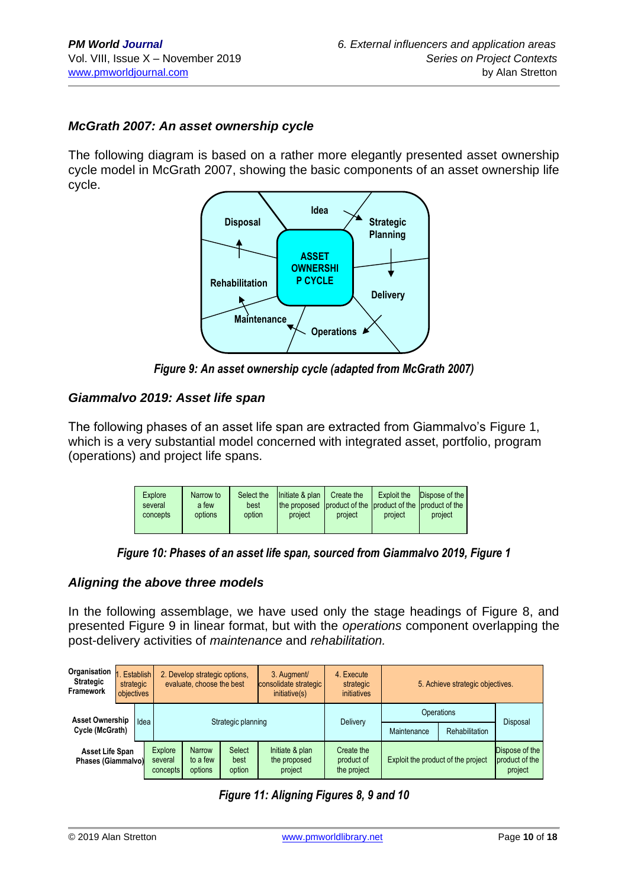# *McGrath 2007: An asset ownership cycle*

The following diagram is based on a rather more elegantly presented asset ownership cycle model in McGrath 2007, showing the basic components of an asset ownership life cycle.



*Figure 9: An asset ownership cycle (adapted from McGrath 2007)*

# *Giammalvo 2019: Asset life span*

The following phases of an asset life span are extracted from Giammalvo's Figure 1, which is a very substantial model concerned with integrated asset, portfolio, program (operations) and project life spans.

| <b>Explore</b><br>several<br>concepts | Narrow to<br>a few<br>options | Select the<br>best<br>option | Initiate & plan<br>the proposed<br>project | Create the<br>I product of the I product of the I product of the<br>project | <b>Exploit the</b><br>project | Dispose of the<br>project |
|---------------------------------------|-------------------------------|------------------------------|--------------------------------------------|-----------------------------------------------------------------------------|-------------------------------|---------------------------|
|                                       |                               |                              |                                            |                                                                             |                               |                           |

| Figure 10: Phases of an asset life span, sourced from Giammalvo 2019, Figure 1 |  |  |  |
|--------------------------------------------------------------------------------|--|--|--|
|--------------------------------------------------------------------------------|--|--|--|

#### *Aligning the above three models*

In the following assemblage, we have used only the stage headings of Figure 8, and presented Figure 9 in linear format, but with the *operations* component overlapping the post-delivery activities of *maintenance* and *rehabilitation.*

| Organisation<br><b>Strategic</b><br><b>Framework</b> | strategic<br>objectives | Establish | 2. Develop strategic options,<br>evaluate, choose the best |                                                                                      |                                 | 3. Augment<br>consolidate strategic<br>initiative(s) | 4. Execute<br>strategic<br>initiatives  | 5. Achieve strategic objectives.   |                 |                                             |
|------------------------------------------------------|-------------------------|-----------|------------------------------------------------------------|--------------------------------------------------------------------------------------|---------------------------------|------------------------------------------------------|-----------------------------------------|------------------------------------|-----------------|---------------------------------------------|
| <b>Asset Ownership</b><br>Idea<br>Cycle (McGrath)    |                         |           |                                                            | <b>Operations</b><br>Delivery<br>Strategic planning<br>Maintenance<br>Rehabilitation |                                 |                                                      |                                         |                                    | <b>Disposal</b> |                                             |
| <b>Asset Life Span</b><br>Phases (Giammalvo)         |                         |           | <b>Explore</b><br>several<br>concepts                      | Narrow<br>to a few<br>options                                                        | <b>Select</b><br>best<br>option | Initiate & plan<br>the proposed<br>project           | Create the<br>product of<br>the project | Exploit the product of the project |                 | Dispose of the<br>product of the<br>project |

*Figure 11: Aligning Figures 8, 9 and 10*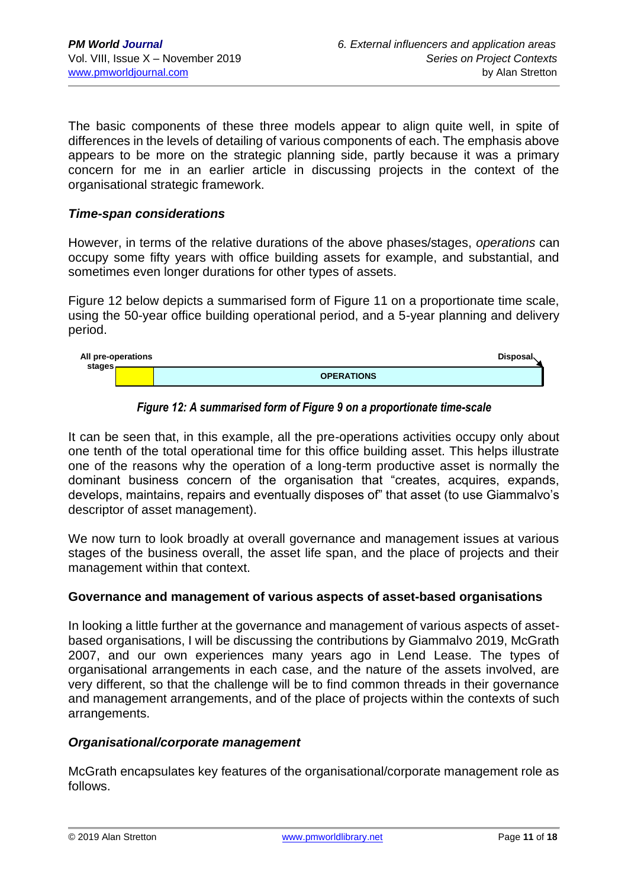The basic components of these three models appear to align quite well, in spite of differences in the levels of detailing of various components of each. The emphasis above appears to be more on the strategic planning side, partly because it was a primary concern for me in an earlier article in discussing projects in the context of the organisational strategic framework.

### *Time-span considerations*

However, in terms of the relative durations of the above phases/stages, *operations* can occupy some fifty years with office building assets for example, and substantial, and sometimes even longer durations for other types of assets.

Figure 12 below depicts a summarised form of Figure 11 on a proportionate time scale, using the 50-year office building operational period, and a 5-year planning and delivery period.





It can be seen that, in this example, all the pre-operations activities occupy only about one tenth of the total operational time for this office building asset. This helps illustrate one of the reasons why the operation of a long-term productive asset is normally the dominant business concern of the organisation that "creates, acquires, expands, develops, maintains, repairs and eventually disposes of" that asset (to use Giammalvo's descriptor of asset management).

We now turn to look broadly at overall governance and management issues at various stages of the business overall, the asset life span, and the place of projects and their management within that context.

# **Governance and management of various aspects of asset-based organisations**

In looking a little further at the governance and management of various aspects of assetbased organisations, I will be discussing the contributions by Giammalvo 2019, McGrath 2007, and our own experiences many years ago in Lend Lease. The types of organisational arrangements in each case, and the nature of the assets involved, are very different, so that the challenge will be to find common threads in their governance and management arrangements, and of the place of projects within the contexts of such arrangements.

#### *Organisational/corporate management*

McGrath encapsulates key features of the organisational/corporate management role as follows.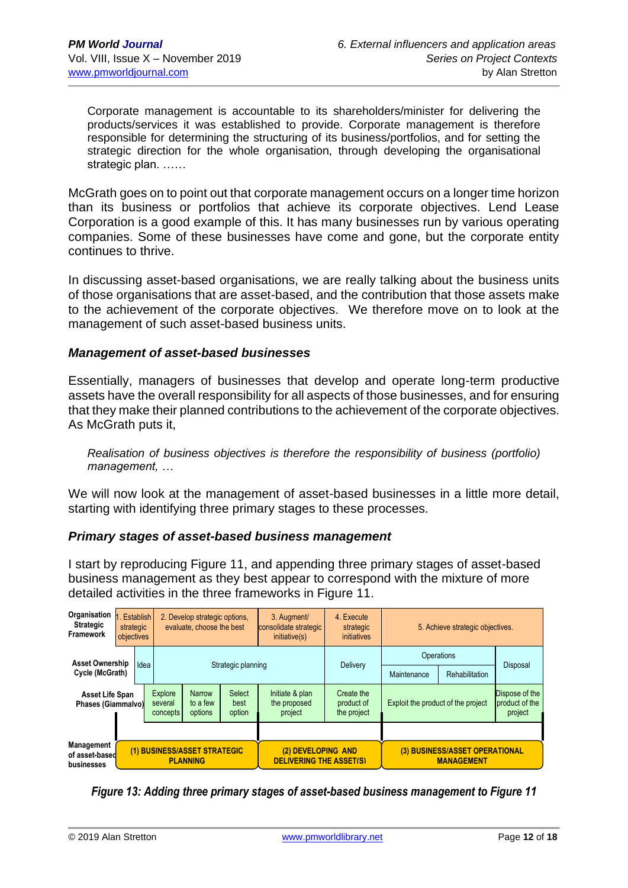Corporate management is accountable to its shareholders/minister for delivering the products/services it was established to provide. Corporate management is therefore responsible for determining the structuring of its business/portfolios, and for setting the strategic direction for the whole organisation, through developing the organisational strategic plan. ……

McGrath goes on to point out that corporate management occurs on a longer time horizon than its business or portfolios that achieve its corporate objectives. Lend Lease Corporation is a good example of this. It has many businesses run by various operating companies. Some of these businesses have come and gone, but the corporate entity continues to thrive.

In discussing asset-based organisations, we are really talking about the business units of those organisations that are asset-based, and the contribution that those assets make to the achievement of the corporate objectives. We therefore move on to look at the management of such asset-based business units.

#### *Management of asset-based businesses*

Essentially, managers of businesses that develop and operate long-term productive assets have the overall responsibility for all aspects of those businesses, and for ensuring that they make their planned contributions to the achievement of the corporate objectives. As McGrath puts it,

*Realisation of business objectives is therefore the responsibility of business (portfolio) management, …*

We will now look at the management of asset-based businesses in a little more detail, starting with identifying three primary stages to these processes.

# *Primary stages of asset-based business management*

I start by reproducing Figure 11, and appending three primary stages of asset-based business management as they best appear to correspond with the mixture of more detailed activities in the three frameworks in Figure 11.

| Organisation<br><b>Strategic</b><br>Framework                                                 | strategic<br>objectives | Establish | 2. Develop strategic options.<br>evaluate, choose the best |                               |                                 | 3. Augment<br>consolidate strategic<br>initiative(s) | 4. Execute<br>strategic<br>initiatives  | 5. Achieve strategic objectives.                    |                |                                              |
|-----------------------------------------------------------------------------------------------|-------------------------|-----------|------------------------------------------------------------|-------------------------------|---------------------------------|------------------------------------------------------|-----------------------------------------|-----------------------------------------------------|----------------|----------------------------------------------|
| <b>Asset Ownership</b><br>Idea<br>Cycle (McGrath)                                             |                         |           |                                                            |                               | Strategic planning              |                                                      | Delivery                                | Operations                                          |                | Disposal                                     |
|                                                                                               |                         |           |                                                            |                               |                                 |                                                      |                                         | Maintenance                                         | Rehabilitation |                                              |
| Asset Life Span<br>Phases (Giammalvo)                                                         |                         |           | Explore<br>several<br>concepts                             | Narrow<br>to a few<br>options | <b>Select</b><br>best<br>option | Initiate & plan<br>the proposed<br>project           | Create the<br>product of<br>the project | Exploit the product of the project                  |                | Dispose of the<br>Iproduct of the<br>project |
|                                                                                               |                         |           |                                                            |                               |                                 |                                                      |                                         |                                                     |                |                                              |
| Management<br>(1) BUSINESS/ASSET STRATEGIC<br>of asset-based<br><b>PLANNING</b><br>businesses |                         |           |                                                            |                               |                                 | (2) DEVELOPING AND<br><b>DELIVERING THE ASSET(S)</b> |                                         | (3) BUSINESS/ASSET OPERATIONAL<br><b>MANAGEMENT</b> |                |                                              |

*Figure 13: Adding three primary stages of asset-based business management to Figure 11*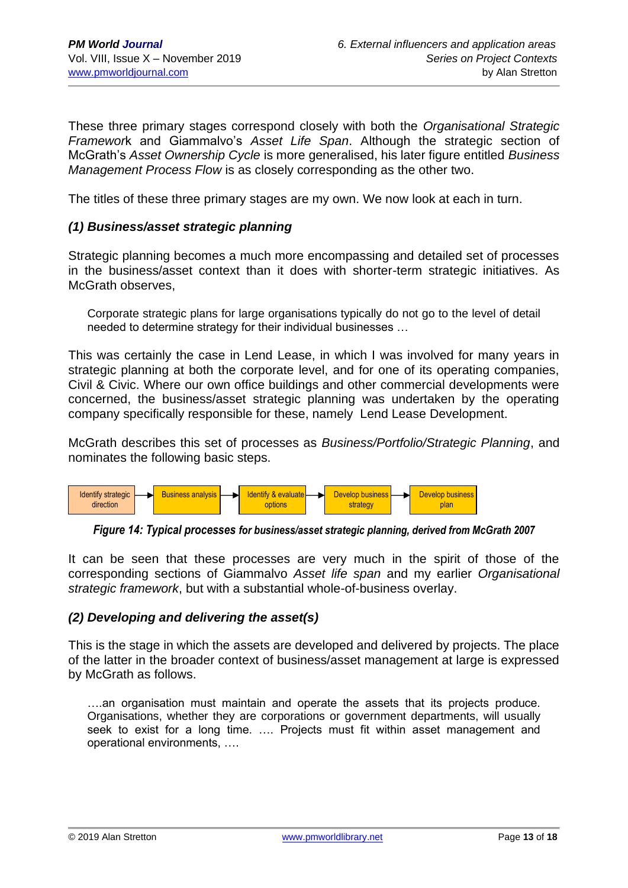These three primary stages correspond closely with both the *Organisational Strategic Framewor*k and Giammalvo's *Asset Life Span*. Although the strategic section of McGrath's *Asset Ownership Cycle* is more generalised, his later figure entitled *Business Management Process Flow* is as closely corresponding as the other two.

The titles of these three primary stages are my own. We now look at each in turn.

# *(1) Business/asset strategic planning*

Strategic planning becomes a much more encompassing and detailed set of processes in the business/asset context than it does with shorter-term strategic initiatives. As McGrath observes,

Corporate strategic plans for large organisations typically do not go to the level of detail needed to determine strategy for their individual businesses …

This was certainly the case in Lend Lease, in which I was involved for many years in strategic planning at both the corporate level, and for one of its operating companies, Civil & Civic. Where our own office buildings and other commercial developments were concerned, the business/asset strategic planning was undertaken by the operating company specifically responsible for these, namely Lend Lease Development.

McGrath describes this set of processes as *Business/Portfolio/Strategic Planning*, and nominates the following basic steps.



*Figure 14: Typical processes for business/asset strategic planning, derived from McGrath 2007*

It can be seen that these processes are very much in the spirit of those of the corresponding sections of Giammalvo *Asset life span* and my earlier *Organisational strategic framework*, but with a substantial whole-of-business overlay.

# *(2) Developing and delivering the asset(s)*

This is the stage in which the assets are developed and delivered by projects. The place of the latter in the broader context of business/asset management at large is expressed by McGrath as follows.

….an organisation must maintain and operate the assets that its projects produce. Organisations, whether they are corporations or government departments, will usually seek to exist for a long time. …. Projects must fit within asset management and operational environments, ….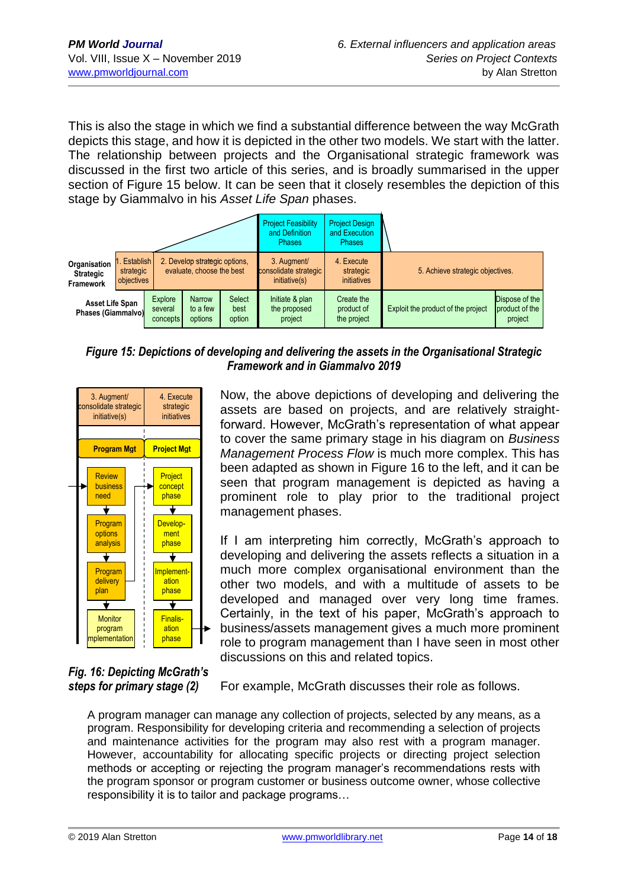This is also the stage in which we find a substantial difference between the way McGrath depicts this stage, and how it is depicted in the other two models. We start with the latter. The relationship between projects and the Organisational strategic framework was discussed in the first two article of this series, and is broadly summarised in the upper section of Figure 15 below. It can be seen that it closely resembles the depiction of this stage by Giammalvo in his *Asset Life Span* phases.

|                                                      |                                      |                                       |                                                            |                                 | <b>Project Feasibility</b><br>and Definition<br><b>Phases</b> | <b>Project Design</b><br>and Execution<br>Phases |                                    |                                             |
|------------------------------------------------------|--------------------------------------|---------------------------------------|------------------------------------------------------------|---------------------------------|---------------------------------------------------------------|--------------------------------------------------|------------------------------------|---------------------------------------------|
| Organisation<br><b>Strategic</b><br><b>Framework</b> | Establish<br>strategic<br>objectives |                                       | 2. Develop strategic options.<br>evaluate, choose the best |                                 | 3. Augment<br>consolidate strategic<br>initiative(s)          | 4. Execute<br>strategic<br><i>initiatives</i>    | 5. Achieve strategic objectives.   |                                             |
| Asset Life Span<br>Phases (Giammalvo)                |                                      | <b>Explore</b><br>several<br>concepts | <b>Narrow</b><br>to a few<br>options                       | <b>Select</b><br>best<br>option | Initiate & plan<br>the proposed<br>project                    | Create the<br>product of<br>the project          | Exploit the product of the project | Dispose of the<br>product of the<br>project |

*Figure 15: Depictions of developing and delivering the assets in the Organisational Strategic Framework and in Giammalvo 2019*



*Fig. 16: Depicting McGrath's*

Now, the above depictions of developing and delivering the assets are based on projects, and are relatively straightforward. However, McGrath's representation of what appear to cover the same primary stage in his diagram on *Business Management Process Flow* is much more complex. This has been adapted as shown in Figure 16 to the left, and it can be seen that program management is depicted as having a prominent role to play prior to the traditional project management phases.

If I am interpreting him correctly, McGrath's approach to developing and delivering the assets reflects a situation in a much more complex organisational environment than the other two models, and with a multitude of assets to be developed and managed over very long time frames. Certainly, in the text of his paper, McGrath's approach to business/assets management gives a much more prominent role to program management than I have seen in most other discussions on this and related topics.

**steps for primary stage (2)** For example, McGrath discusses their role as follows.

A program manager can manage any collection of projects, selected by any means, as a program. Responsibility for developing criteria and recommending a selection of projects and maintenance activities for the program may also rest with a program manager. However, accountability for allocating specific projects or directing project selection methods or accepting or rejecting the program manager's recommendations rests with the program sponsor or program customer or business outcome owner, whose collective responsibility it is to tailor and package programs…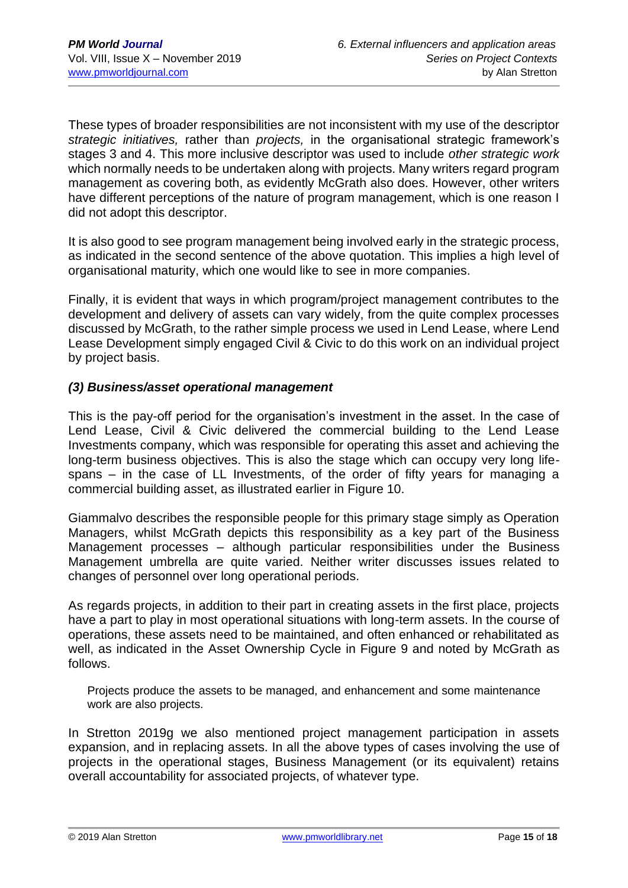These types of broader responsibilities are not inconsistent with my use of the descriptor *strategic initiatives,* rather than *projects,* in the organisational strategic framework's stages 3 and 4. This more inclusive descriptor was used to include *other strategic work* which normally needs to be undertaken along with projects. Many writers regard program management as covering both, as evidently McGrath also does. However, other writers have different perceptions of the nature of program management, which is one reason I did not adopt this descriptor.

It is also good to see program management being involved early in the strategic process, as indicated in the second sentence of the above quotation. This implies a high level of organisational maturity, which one would like to see in more companies.

Finally, it is evident that ways in which program/project management contributes to the development and delivery of assets can vary widely, from the quite complex processes discussed by McGrath, to the rather simple process we used in Lend Lease, where Lend Lease Development simply engaged Civil & Civic to do this work on an individual project by project basis.

# *(3) Business/asset operational management*

This is the pay-off period for the organisation's investment in the asset. In the case of Lend Lease, Civil & Civic delivered the commercial building to the Lend Lease Investments company, which was responsible for operating this asset and achieving the long-term business objectives. This is also the stage which can occupy very long lifespans – in the case of LL Investments, of the order of fifty years for managing a commercial building asset, as illustrated earlier in Figure 10.

Giammalvo describes the responsible people for this primary stage simply as Operation Managers, whilst McGrath depicts this responsibility as a key part of the Business Management processes – although particular responsibilities under the Business Management umbrella are quite varied. Neither writer discusses issues related to changes of personnel over long operational periods.

As regards projects, in addition to their part in creating assets in the first place, projects have a part to play in most operational situations with long-term assets. In the course of operations, these assets need to be maintained, and often enhanced or rehabilitated as well, as indicated in the Asset Ownership Cycle in Figure 9 and noted by McGrath as follows.

Projects produce the assets to be managed, and enhancement and some maintenance work are also projects.

In Stretton 2019g we also mentioned project management participation in assets expansion, and in replacing assets. In all the above types of cases involving the use of projects in the operational stages, Business Management (or its equivalent) retains overall accountability for associated projects, of whatever type.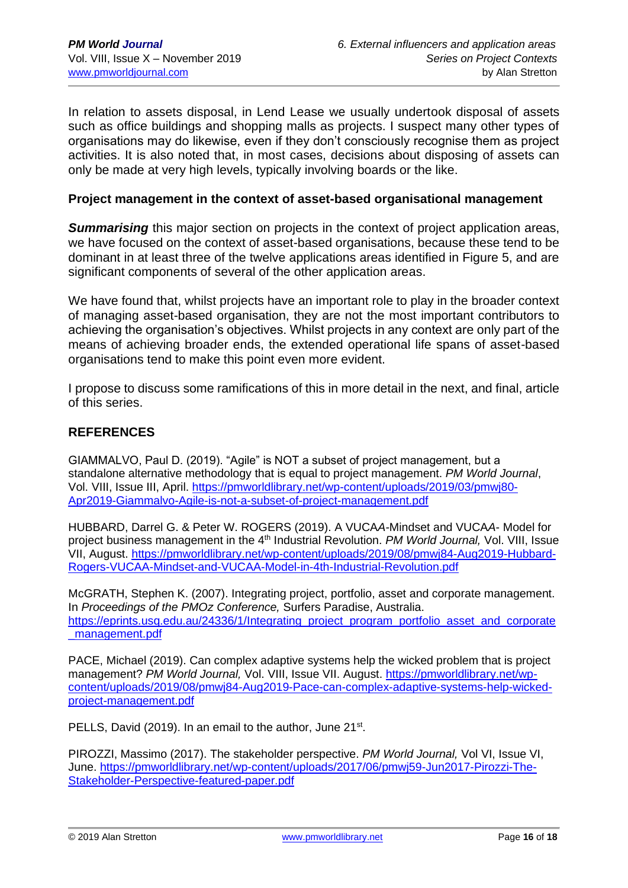In relation to assets disposal, in Lend Lease we usually undertook disposal of assets such as office buildings and shopping malls as projects. I suspect many other types of organisations may do likewise, even if they don't consciously recognise them as project activities. It is also noted that, in most cases, decisions about disposing of assets can only be made at very high levels, typically involving boards or the like.

### **Project management in the context of asset-based organisational management**

**Summarising** this major section on projects in the context of project application areas, we have focused on the context of asset-based organisations, because these tend to be dominant in at least three of the twelve applications areas identified in Figure 5, and are significant components of several of the other application areas.

We have found that, whilst projects have an important role to play in the broader context of managing asset-based organisation, they are not the most important contributors to achieving the organisation's objectives. Whilst projects in any context are only part of the means of achieving broader ends, the extended operational life spans of asset-based organisations tend to make this point even more evident.

I propose to discuss some ramifications of this in more detail in the next, and final, article of this series.

# **REFERENCES**

GIAMMALVO, Paul D. (2019). "Agile" is NOT a subset of project management, but a standalone alternative methodology that is equal to project management. *PM World Journal*, Vol. VIII, Issue III, April. [https://pmworldlibrary.net/wp-content/uploads/2019/03/pmwj80-](https://pmworldlibrary.net/wp-content/uploads/2019/03/pmwj80-Apr2019-Giammalvo-Agile-is-not-a-subset-of-project-management.pdf) [Apr2019-Giammalvo-Agile-is-not-a-subset-of-project-management.pdf](https://pmworldlibrary.net/wp-content/uploads/2019/03/pmwj80-Apr2019-Giammalvo-Agile-is-not-a-subset-of-project-management.pdf)

HUBBARD, Darrel G. & Peter W. ROGERS (2019). A VUCA*A-*Mindset and VUCA*A*- Model for project business management in the 4<sup>th</sup> Industrial Revolution. *PM World Journal*, Vol. VIII, Issue VII, August. [https://pmworldlibrary.net/wp-content/uploads/2019/08/pmwj84-Aug2019-Hubbard-](https://pmworldlibrary.net/wp-content/uploads/2019/08/pmwj84-Aug2019-Hubbard-Rogers-VUCAA-Mindset-and-VUCAA-Model-in-4th-Industrial-Revolution.pdf)[Rogers-VUCAA-Mindset-and-VUCAA-Model-in-4th-Industrial-Revolution.pdf](https://pmworldlibrary.net/wp-content/uploads/2019/08/pmwj84-Aug2019-Hubbard-Rogers-VUCAA-Mindset-and-VUCAA-Model-in-4th-Industrial-Revolution.pdf)

McGRATH, Stephen K. (2007). Integrating project, portfolio, asset and corporate management. In *Proceedings of the PMOz Conference,* Surfers Paradise, Australia. [https://eprints.usq.edu.au/24336/1/Integrating\\_project\\_program\\_portfolio\\_asset\\_and\\_corporate](https://eprints.usq.edu.au/24336/1/Integrating_project_program_portfolio_asset_and_corporate_management.pdf) [\\_management.pdf](https://eprints.usq.edu.au/24336/1/Integrating_project_program_portfolio_asset_and_corporate_management.pdf)

PACE, Michael (2019). Can complex adaptive systems help the wicked problem that is project management? *PM World Journal,* Vol. VIII, Issue VII. August. [https://pmworldlibrary.net/wp](https://pmworldlibrary.net/wp-content/uploads/2019/08/pmwj84-Aug2019-Pace-can-complex-adaptive-systems-help-wicked-project-management.pdf)[content/uploads/2019/08/pmwj84-Aug2019-Pace-can-complex-adaptive-systems-help-wicked](https://pmworldlibrary.net/wp-content/uploads/2019/08/pmwj84-Aug2019-Pace-can-complex-adaptive-systems-help-wicked-project-management.pdf)[project-management.pdf](https://pmworldlibrary.net/wp-content/uploads/2019/08/pmwj84-Aug2019-Pace-can-complex-adaptive-systems-help-wicked-project-management.pdf)

PELLS, David (2019). In an email to the author, June 21<sup>st</sup>.

PIROZZI, Massimo (2017). The stakeholder perspective. *PM World Journal,* Vol VI, Issue VI, June. [https://pmworldlibrary.net/wp-content/uploads/2017/06/pmwj59-Jun2017-Pirozzi-The-](https://pmworldlibrary.net/wp-content/uploads/2017/06/pmwj59-Jun2017-Pirozzi-The-Stakeholder-Perspective-featured-paper.pdf)[Stakeholder-Perspective-featured-paper.pdf](https://pmworldlibrary.net/wp-content/uploads/2017/06/pmwj59-Jun2017-Pirozzi-The-Stakeholder-Perspective-featured-paper.pdf)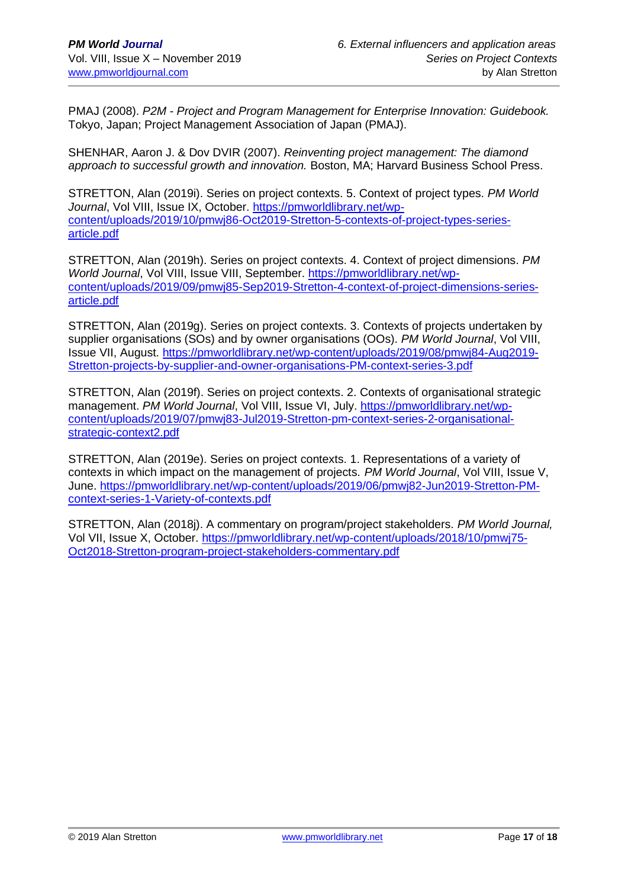PMAJ (2008). *P2M - Project and Program Management for Enterprise Innovation: Guidebook.*  Tokyo, Japan; Project Management Association of Japan (PMAJ).

SHENHAR, Aaron J. & Dov DVIR (2007). *Reinventing project management: The diamond approach to successful growth and innovation.* Boston, MA; Harvard Business School Press.

STRETTON, Alan (2019i). Series on project contexts. 5. Context of project types. *PM World Journal*, Vol VIII, Issue IX, October. [https://pmworldlibrary.net/wp](https://pmworldlibrary.net/wp-content/uploads/2019/10/pmwj86-Oct2019-Stretton-5-contexts-of-project-types-series-article.pdf)[content/uploads/2019/10/pmwj86-Oct2019-Stretton-5-contexts-of-project-types-series](https://pmworldlibrary.net/wp-content/uploads/2019/10/pmwj86-Oct2019-Stretton-5-contexts-of-project-types-series-article.pdf)[article.pdf](https://pmworldlibrary.net/wp-content/uploads/2019/10/pmwj86-Oct2019-Stretton-5-contexts-of-project-types-series-article.pdf)

STRETTON, Alan (2019h). Series on project contexts. 4. Context of project dimensions. *PM World Journal*, Vol VIII, Issue VIII, September. [https://pmworldlibrary.net/wp](https://pmworldlibrary.net/wp-content/uploads/2019/09/pmwj85-Sep2019-Stretton-4-context-of-project-dimensions-series-article.pdf)[content/uploads/2019/09/pmwj85-Sep2019-Stretton-4-context-of-project-dimensions-series](https://pmworldlibrary.net/wp-content/uploads/2019/09/pmwj85-Sep2019-Stretton-4-context-of-project-dimensions-series-article.pdf)[article.pdf](https://pmworldlibrary.net/wp-content/uploads/2019/09/pmwj85-Sep2019-Stretton-4-context-of-project-dimensions-series-article.pdf)

STRETTON, Alan (2019g). Series on project contexts. 3. Contexts of projects undertaken by supplier organisations (SOs) and by owner organisations (OOs). *PM World Journal*, Vol VIII, Issue VII, August. [https://pmworldlibrary.net/wp-content/uploads/2019/08/pmwj84-Aug2019-](https://pmworldlibrary.net/wp-content/uploads/2019/08/pmwj84-Aug2019-Stretton-projects-by-supplier-and-owner-organisations-PM-context-series-3.pdf) [Stretton-projects-by-supplier-and-owner-organisations-PM-context-series-3.pdf](https://pmworldlibrary.net/wp-content/uploads/2019/08/pmwj84-Aug2019-Stretton-projects-by-supplier-and-owner-organisations-PM-context-series-3.pdf)

STRETTON, Alan (2019f). Series on project contexts. 2. Contexts of organisational strategic management. *PM World Journal*, Vol VIII, Issue VI, July. [https://pmworldlibrary.net/wp](https://pmworldlibrary.net/wp-content/uploads/2019/07/pmwj83-Jul2019-Stretton-pm-context-series-2-organisational-strategic-context2.pdf)[content/uploads/2019/07/pmwj83-Jul2019-Stretton-pm-context-series-2-organisational](https://pmworldlibrary.net/wp-content/uploads/2019/07/pmwj83-Jul2019-Stretton-pm-context-series-2-organisational-strategic-context2.pdf)[strategic-context2.pdf](https://pmworldlibrary.net/wp-content/uploads/2019/07/pmwj83-Jul2019-Stretton-pm-context-series-2-organisational-strategic-context2.pdf)

STRETTON, Alan (2019e). Series on project contexts. 1. Representations of a variety of contexts in which impact on the management of projects. *PM World Journal*, Vol VIII, Issue V, June. [https://pmworldlibrary.net/wp-content/uploads/2019/06/pmwj82-Jun2019-Stretton-PM](https://pmworldlibrary.net/wp-content/uploads/2019/06/pmwj82-Jun2019-Stretton-PM-context-series-1-Variety-of-contexts.pdf)[context-series-1-Variety-of-contexts.pdf](https://pmworldlibrary.net/wp-content/uploads/2019/06/pmwj82-Jun2019-Stretton-PM-context-series-1-Variety-of-contexts.pdf)

STRETTON, Alan (2018j). A commentary on program/project stakeholders. *PM World Journal,*  Vol VII, Issue X, October. [https://pmworldlibrary.net/wp-content/uploads/2018/10/pmwj75-](https://pmworldlibrary.net/wp-content/uploads/2018/10/pmwj75-Oct2018-Stretton-program-project-stakeholders-commentary.pdf) [Oct2018-Stretton-program-project-stakeholders-commentary.pdf](https://pmworldlibrary.net/wp-content/uploads/2018/10/pmwj75-Oct2018-Stretton-program-project-stakeholders-commentary.pdf)